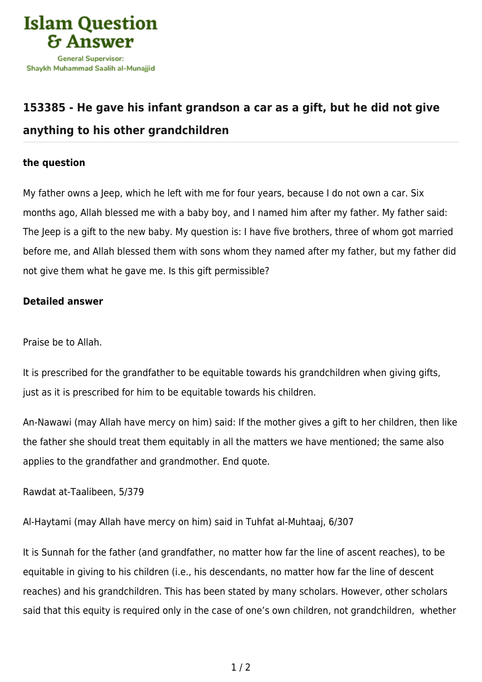

## **[153385 - He gave his infant grandson a car as a gift, but he did not give](https://islamqa.ws/en/answers/153385/he-gave-his-infant-grandson-a-car-as-a-gift-but-he-did-not-give-anything-to-his-other-grandchildren) [anything to his other grandchildren](https://islamqa.ws/en/answers/153385/he-gave-his-infant-grandson-a-car-as-a-gift-but-he-did-not-give-anything-to-his-other-grandchildren)**

## **the question**

My father owns a Jeep, which he left with me for four years, because I do not own a car. Six months ago, Allah blessed me with a baby boy, and I named him after my father. My father said: The Jeep is a gift to the new baby. My question is: I have five brothers, three of whom got married before me, and Allah blessed them with sons whom they named after my father, but my father did not give them what he gave me. Is this gift permissible?

## **Detailed answer**

Praise be to Allah.

It is prescribed for the grandfather to be equitable towards his grandchildren when giving gifts, just as it is prescribed for him to be equitable towards his children.

An-Nawawi (may Allah have mercy on him) said: If the mother gives a gift to her children, then like the father she should treat them equitably in all the matters we have mentioned; the same also applies to the grandfather and grandmother. End quote.

Rawdat at-Taalibeen, 5/379

Al-Haytami (may Allah have mercy on him) said in Tuhfat al-Muhtaaj, 6/307

It is Sunnah for the father (and grandfather, no matter how far the line of ascent reaches), to be equitable in giving to his children (i.e., his descendants, no matter how far the line of descent reaches) and his grandchildren. This has been stated by many scholars. However, other scholars said that this equity is required only in the case of one's own children, not grandchildren, whether